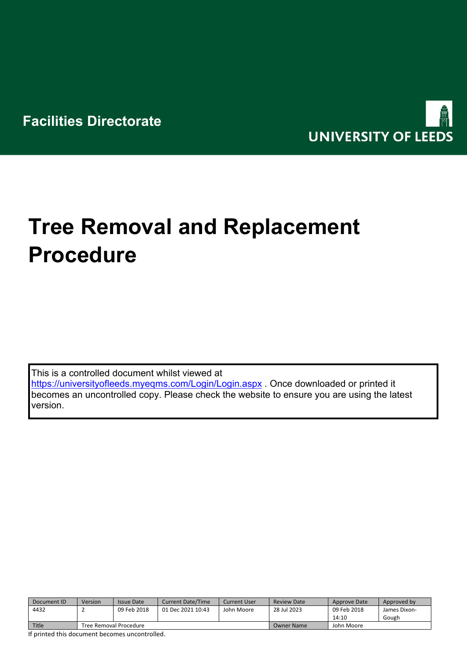

# **Tree Removal and Replacement Procedure**

This is a controlled document whilst viewed at <https://universityofleeds.myeqms.com/Login/Login.aspx> . Once downloaded or printed it becomes an uncontrolled copy. Please check the website to ensure you are using the latest version.

| Document ID | Version                | <b>Issue Date</b> | <b>Current Date/Time</b> | Current User . | Review Date | Approve Date | Approved by  |
|-------------|------------------------|-------------------|--------------------------|----------------|-------------|--------------|--------------|
| 4432        |                        | 09 Feb 2018       | 01 Dec 2021 10:43        | John Moore     | 28 Jul 2023 | 09 Feb 2018  | James Dixon- |
|             |                        |                   |                          |                |             | 14:10        | Gough        |
| Title       | Tree Removal Procedure |                   |                          |                | Owner Name  | John Moore   |              |

If printed this document becomes uncontrolled.